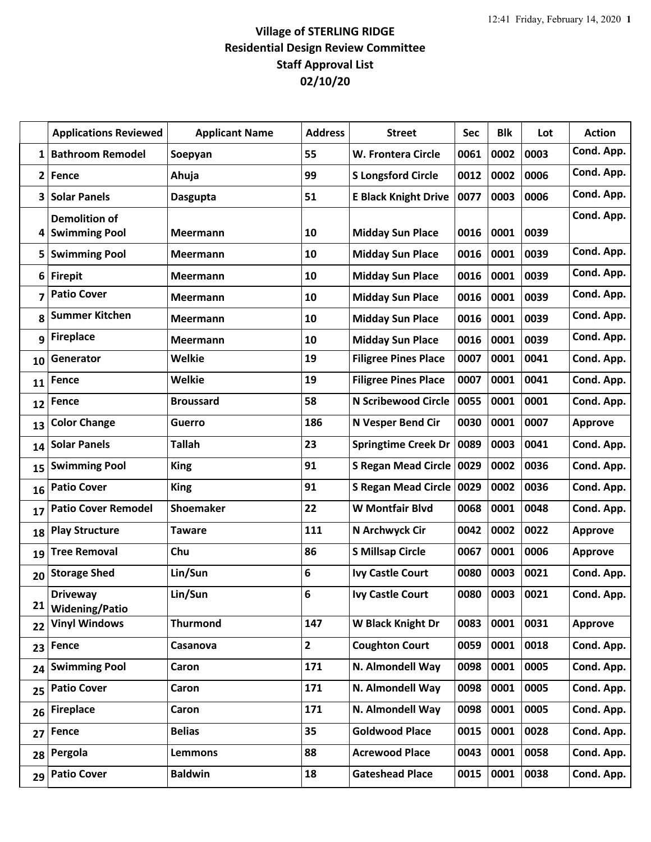## **Village of STERLING RIDGE Residential Design Review Committee Staff Approval List 02/10/20**

|              | <b>Applications Reviewed</b>                 | <b>Applicant Name</b> | <b>Address</b> | <b>Street</b>               | Sec  | <b>Blk</b> | Lot  | <b>Action</b>  |
|--------------|----------------------------------------------|-----------------------|----------------|-----------------------------|------|------------|------|----------------|
| 1            | <b>Bathroom Remodel</b>                      | Soepyan               | 55             | W. Frontera Circle          | 0061 | 0002       | 0003 | Cond. App.     |
| $\mathbf{2}$ | <b>Fence</b>                                 | Ahuja                 | 99             | <b>S Longsford Circle</b>   | 0012 | 0002       | 0006 | Cond. App.     |
| 3            | <b>Solar Panels</b>                          | <b>Dasgupta</b>       | 51             | <b>E Black Knight Drive</b> | 0077 | 0003       | 0006 | Cond. App.     |
| 4            | <b>Demolition of</b><br><b>Swimming Pool</b> | <b>Meermann</b>       | 10             | <b>Midday Sun Place</b>     | 0016 | 0001       | 0039 | Cond. App.     |
| 5            | <b>Swimming Pool</b>                         | <b>Meermann</b>       | 10             | <b>Midday Sun Place</b>     | 0016 | 0001       | 0039 | Cond. App.     |
| 6            | <b>Firepit</b>                               | Meermann              | 10             | <b>Midday Sun Place</b>     | 0016 | 0001       | 0039 | Cond. App.     |
| 7            | <b>Patio Cover</b>                           | <b>Meermann</b>       | 10             | <b>Midday Sun Place</b>     | 0016 | 0001       | 0039 | Cond. App.     |
| 8            | <b>Summer Kitchen</b>                        | <b>Meermann</b>       | 10             | <b>Midday Sun Place</b>     | 0016 | 0001       | 0039 | Cond. App.     |
| 9            | <b>Fireplace</b>                             | <b>Meermann</b>       | 10             | <b>Midday Sun Place</b>     | 0016 | 0001       | 0039 | Cond. App.     |
| 10           | Generator                                    | <b>Welkie</b>         | 19             | <b>Filigree Pines Place</b> | 0007 | 0001       | 0041 | Cond. App.     |
| 11           | <b>Fence</b>                                 | <b>Welkie</b>         | 19             | <b>Filigree Pines Place</b> | 0007 | 0001       | 0041 | Cond. App.     |
| 12           | Fence                                        | <b>Broussard</b>      | 58             | <b>N Scribewood Circle</b>  | 0055 | 0001       | 0001 | Cond. App.     |
| 13           | <b>Color Change</b>                          | <b>Guerro</b>         | 186            | N Vesper Bend Cir           | 0030 | 0001       | 0007 | <b>Approve</b> |
| 14           | <b>Solar Panels</b>                          | <b>Tallah</b>         | 23             | <b>Springtime Creek Dr</b>  | 0089 | 0003       | 0041 | Cond. App.     |
| 15           | <b>Swimming Pool</b>                         | <b>King</b>           | 91             | S Regan Mead Circle 0029    |      | 0002       | 0036 | Cond. App.     |
| 16           | <b>Patio Cover</b>                           | <b>King</b>           | 91             | S Regan Mead Circle   0029  |      | 0002       | 0036 | Cond. App.     |
| 17           | <b>Patio Cover Remodel</b>                   | <b>Shoemaker</b>      | 22             | <b>W Montfair Blvd</b>      | 0068 | 0001       | 0048 | Cond. App.     |
| 18           | <b>Play Structure</b>                        | <b>Taware</b>         | 111            | N Archwyck Cir              | 0042 | 0002       | 0022 | <b>Approve</b> |
| 19           | <b>Tree Removal</b>                          | Chu                   | 86             | <b>S Millsap Circle</b>     | 0067 | 0001       | 0006 | <b>Approve</b> |
| 20           | <b>Storage Shed</b>                          | Lin/Sun               | 6              | <b>Ivy Castle Court</b>     | 0080 | 0003       | 0021 | Cond. App.     |
| 21           | <b>Driveway</b><br><b>Widening/Patio</b>     | Lin/Sun               | 6              | <b>Ivy Castle Court</b>     | 0080 | 0003       | 0021 | Cond. App.     |
| 22           | <b>Vinyl Windows</b>                         | <b>Thurmond</b>       | 147            | W Black Knight Dr           | 0083 | 0001       | 0031 | <b>Approve</b> |
| 23           | Fence                                        | Casanova              | $\overline{2}$ | <b>Coughton Court</b>       | 0059 | 0001       | 0018 | Cond. App.     |
| 24           | <b>Swimming Pool</b>                         | Caron                 | 171            | N. Almondell Way            | 0098 | 0001       | 0005 | Cond. App.     |
| 25           | <b>Patio Cover</b>                           | Caron                 | 171            | N. Almondell Way            | 0098 | 0001       | 0005 | Cond. App.     |
| 26           | <b>Fireplace</b>                             | Caron                 | 171            | N. Almondell Way            | 0098 | 0001       | 0005 | Cond. App.     |
| 27           | Fence                                        | <b>Belias</b>         | 35             | <b>Goldwood Place</b>       | 0015 | 0001       | 0028 | Cond. App.     |
| 28           | Pergola                                      | <b>Lemmons</b>        | 88             | <b>Acrewood Place</b>       | 0043 | 0001       | 0058 | Cond. App.     |
| 29           | <b>Patio Cover</b>                           | <b>Baldwin</b>        | 18             | <b>Gateshead Place</b>      | 0015 | 0001       | 0038 | Cond. App.     |